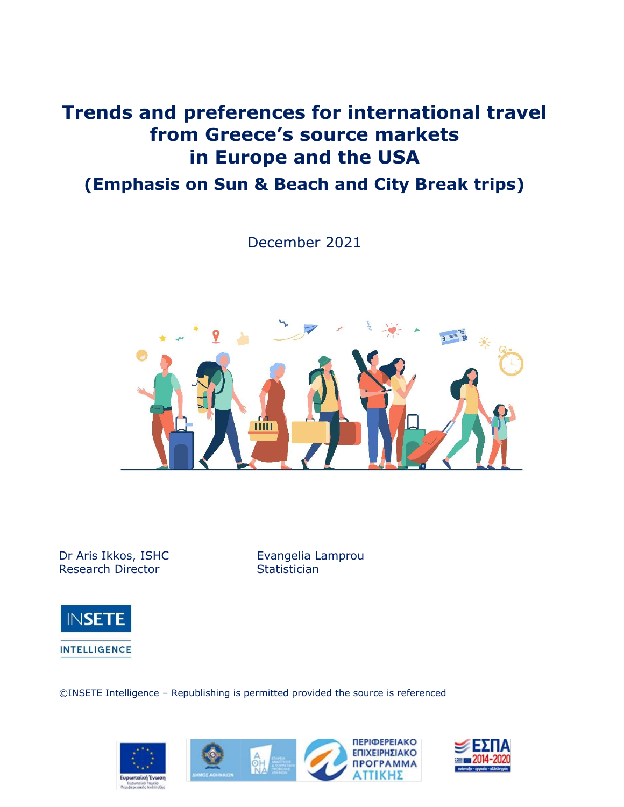# **Trends and preferences for international travel from Greece's source markets in Europe and the USA**

# **(Emphasis on Sun & Beach and City Break trips)**

December 2021



Dr Aris Ikkos, ISHC **Evangelia Lamprou** Research Director **Statistician** 



**INTELLIGENCE** 

©INSETE Intelligence – Republishing is permitted provided the source is referenced







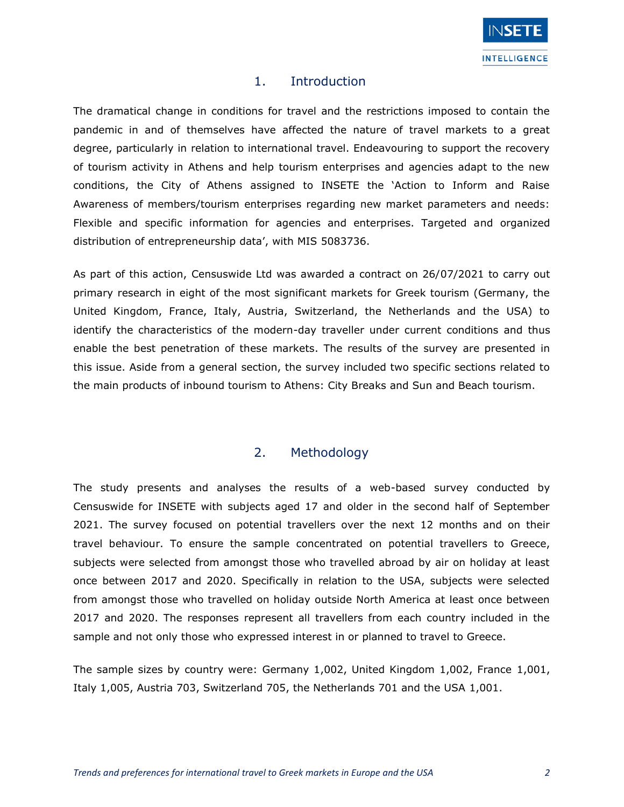

### 1. Introduction

The dramatical change in conditions for travel and the restrictions imposed to contain the pandemic in and of themselves have affected the nature of travel markets to a great degree, particularly in relation to international travel. Endeavouring to support the recovery of tourism activity in Athens and help tourism enterprises and agencies adapt to the new conditions, the City of Athens assigned to INSETE the 'Action to Inform and Raise Awareness of members/tourism enterprises regarding new market parameters and needs: Flexible and specific information for agencies and enterprises. Targeted and organized distribution of entrepreneurship data', with MIS 5083736.

As part of this action, Censuswide Ltd was awarded a contract on 26/07/2021 to carry out primary research in eight of the most significant markets for Greek tourism (Germany, the United Kingdom, France, Italy, Austria, Switzerland, the Netherlands and the USA) to identify the characteristics of the modern-day traveller under current conditions and thus enable the best penetration of these markets. The results of the survey are presented in this issue. Aside from a general section, the survey included two specific sections related to the main products of inbound tourism to Athens: City Breaks and Sun and Beach tourism.

### 2. Methodology

The study presents and analyses the results of a web-based survey conducted by Censuswide for INSETE with subjects aged 17 and older in the second half of September 2021. The survey focused on potential travellers over the next 12 months and on their travel behaviour. To ensure the sample concentrated on potential travellers to Greece, subjects were selected from amongst those who travelled abroad by air on holiday at least once between 2017 and 2020. Specifically in relation to the USA, subjects were selected from amongst those who travelled on holiday outside North America at least once between 2017 and 2020. The responses represent all travellers from each country included in the sample and not only those who expressed interest in or planned to travel to Greece.

The sample sizes by country were: Germany 1,002, United Kingdom 1,002, France 1,001, Italy 1,005, Austria 703, Switzerland 705, the Netherlands 701 and the USA 1,001.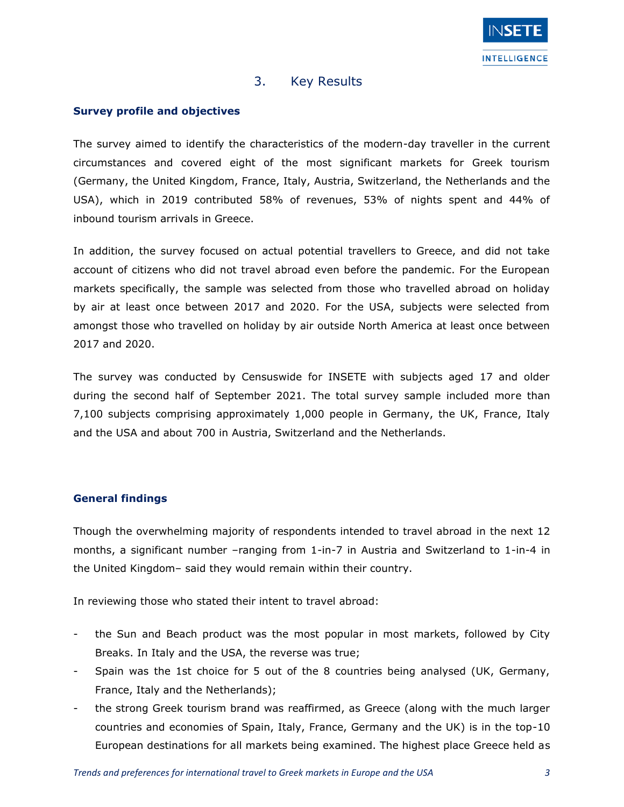

## 3. Key Results

#### **Survey profile and objectives**

The survey aimed to identify the characteristics of the modern-day traveller in the current circumstances and covered eight of the most significant markets for Greek tourism (Germany, the United Kingdom, France, Italy, Austria, Switzerland, the Netherlands and the USA), which in 2019 contributed 58% of revenues, 53% of nights spent and 44% of inbound tourism arrivals in Greece.

In addition, the survey focused on actual potential travellers to Greece, and did not take account of citizens who did not travel abroad even before the pandemic. For the European markets specifically, the sample was selected from those who travelled abroad on holiday by air at least once between 2017 and 2020. For the USA, subjects were selected from amongst those who travelled on holiday by air outside North America at least once between 2017 and 2020.

The survey was conducted by Censuswide for INSETE with subjects aged 17 and older during the second half of September 2021. The total survey sample included more than 7,100 subjects comprising approximately 1,000 people in Germany, the UK, France, Italy and the USA and about 700 in Austria, Switzerland and the Netherlands.

#### **General findings**

Though the overwhelming majority of respondents intended to travel abroad in the next 12 months, a significant number –ranging from 1-in-7 in Austria and Switzerland to 1-in-4 in the United Kingdom– said they would remain within their country.

In reviewing those who stated their intent to travel abroad:

- the Sun and Beach product was the most popular in most markets, followed by City Breaks. In Italy and the USA, the reverse was true;
- Spain was the 1st choice for 5 out of the 8 countries being analysed (UK, Germany, France, Italy and the Netherlands);
- the strong Greek tourism brand was reaffirmed, as Greece (along with the much larger countries and economies of Spain, Italy, France, Germany and the UK) is in the top-10 European destinations for all markets being examined. The highest place Greece held as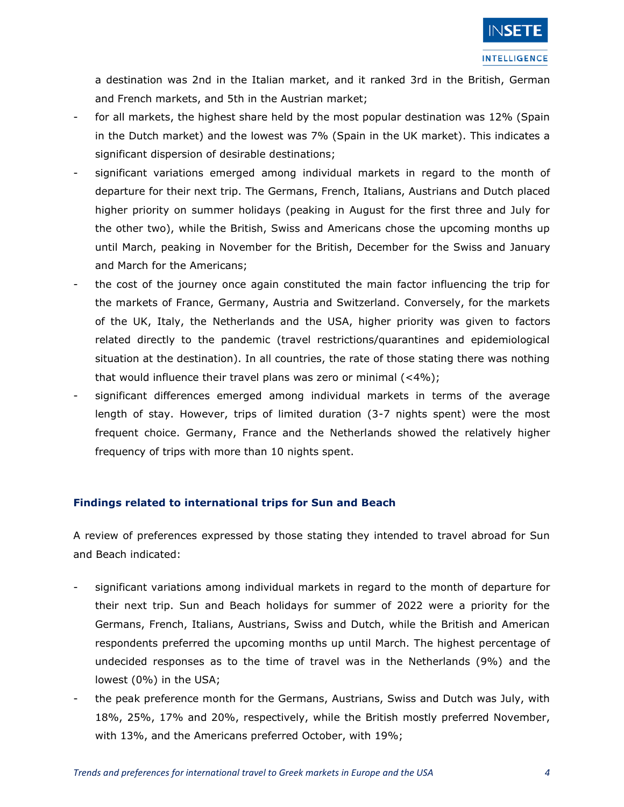a destination was 2nd in the Italian market, and it ranked 3rd in the British, German and French markets, and 5th in the Austrian market;

- for all markets, the highest share held by the most popular destination was 12% (Spain in the Dutch market) and the lowest was 7% (Spain in the UK market). This indicates a significant dispersion of desirable destinations;
- significant variations emerged among individual markets in regard to the month of departure for their next trip. The Germans, French, Italians, Austrians and Dutch placed higher priority on summer holidays (peaking in August for the first three and July for the other two), while the British, Swiss and Americans chose the upcoming months up until March, peaking in November for the British, December for the Swiss and January and March for the Americans;
- the cost of the journey once again constituted the main factor influencing the trip for the markets of France, Germany, Austria and Switzerland. Conversely, for the markets of the UK, Italy, the Netherlands and the USA, higher priority was given to factors related directly to the pandemic (travel restrictions/quarantines and epidemiological situation at the destination). In all countries, the rate of those stating there was nothing that would influence their travel plans was zero or minimal (<4%);
- significant differences emerged among individual markets in terms of the average length of stay. However, trips of limited duration (3-7 nights spent) were the most frequent choice. Germany, France and the Netherlands showed the relatively higher frequency of trips with more than 10 nights spent.

#### **Findings related to international trips for Sun and Beach**

A review of preferences expressed by those stating they intended to travel abroad for Sun and Beach indicated:

- significant variations among individual markets in regard to the month of departure for their next trip. Sun and Beach holidays for summer of 2022 were a priority for the Germans, French, Italians, Austrians, Swiss and Dutch, while the British and American respondents preferred the upcoming months up until March. The highest percentage of undecided responses as to the time of travel was in the Netherlands (9%) and the lowest (0%) in the USA;
- the peak preference month for the Germans, Austrians, Swiss and Dutch was July, with 18%, 25%, 17% and 20%, respectively, while the British mostly preferred November, with 13%, and the Americans preferred October, with 19%;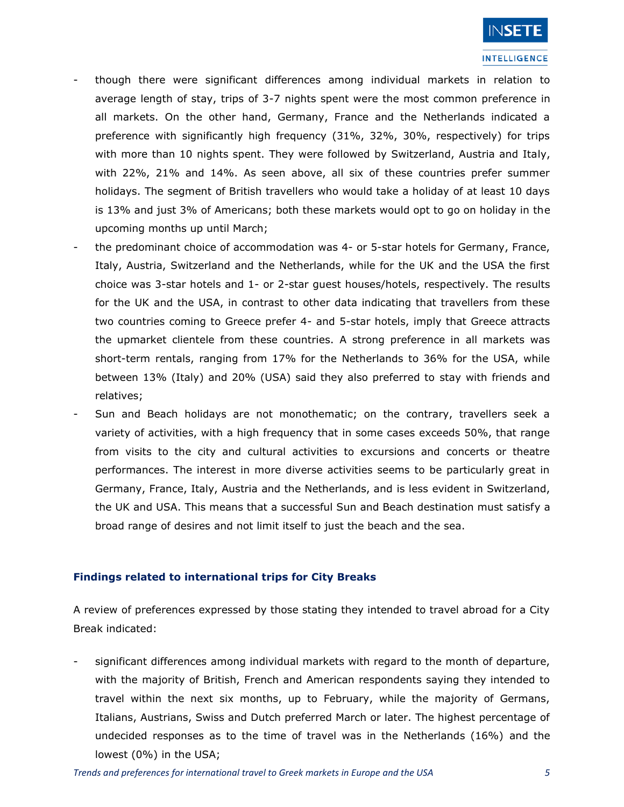

- though there were significant differences among individual markets in relation to average length of stay, trips of 3-7 nights spent were the most common preference in all markets. On the other hand, Germany, France and the Netherlands indicated a preference with significantly high frequency (31%, 32%, 30%, respectively) for trips with more than 10 nights spent. They were followed by Switzerland, Austria and Italy, with 22%, 21% and 14%. As seen above, all six of these countries prefer summer holidays. The segment of British travellers who would take a holiday of at least 10 days is 13% and just 3% of Americans; both these markets would opt to go on holiday in the upcoming months up until March;
- the predominant choice of accommodation was 4- or 5-star hotels for Germany, France, Italy, Austria, Switzerland and the Netherlands, while for the UK and the USA the first choice was 3-star hotels and 1- or 2-star guest houses/hotels, respectively. The results for the UK and the USA, in contrast to other data indicating that travellers from these two countries coming to Greece prefer 4- and 5-star hotels, imply that Greece attracts the upmarket clientele from these countries. A strong preference in all markets was short-term rentals, ranging from 17% for the Netherlands to 36% for the USA, while between 13% (Italy) and 20% (USA) said they also preferred to stay with friends and relatives;
- Sun and Beach holidays are not monothematic; on the contrary, travellers seek a variety of activities, with a high frequency that in some cases exceeds 50%, that range from visits to the city and cultural activities to excursions and concerts or theatre performances. The interest in more diverse activities seems to be particularly great in Germany, France, Italy, Austria and the Netherlands, and is less evident in Switzerland, the UK and USA. This means that a successful Sun and Beach destination must satisfy a broad range of desires and not limit itself to just the beach and the sea.

#### **Findings related to international trips for City Breaks**

A review of preferences expressed by those stating they intended to travel abroad for a City Break indicated:

significant differences among individual markets with regard to the month of departure, with the majority of British, French and American respondents saying they intended to travel within the next six months, up to February, while the majority of Germans, Italians, Austrians, Swiss and Dutch preferred March or later. The highest percentage of undecided responses as to the time of travel was in the Netherlands (16%) and the lowest (0%) in the USA;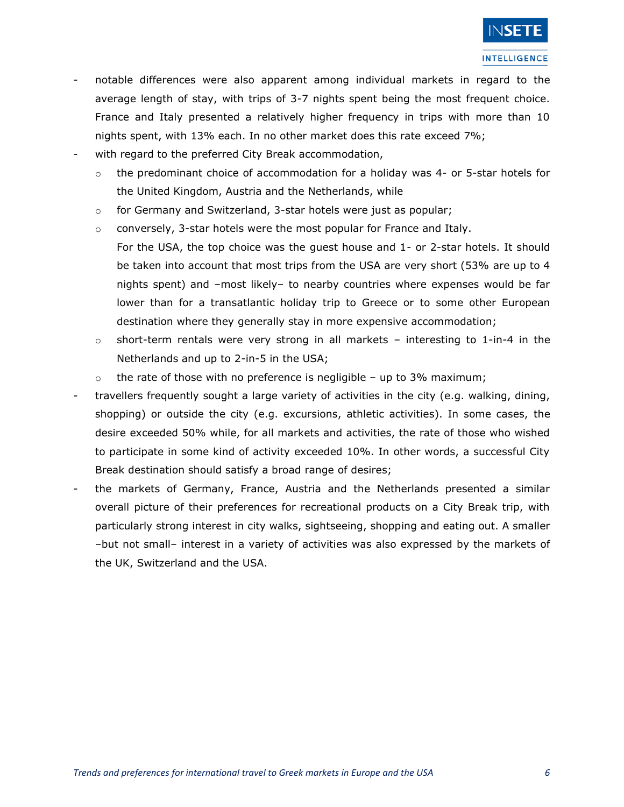

- notable differences were also apparent among individual markets in regard to the average length of stay, with trips of 3-7 nights spent being the most frequent choice. France and Italy presented a relatively higher frequency in trips with more than 10 nights spent, with 13% each. In no other market does this rate exceed 7%;
- with regard to the preferred City Break accommodation,
	- $\circ$  the predominant choice of accommodation for a holiday was 4- or 5-star hotels for the United Kingdom, Austria and the Netherlands, while
	- o for Germany and Switzerland, 3-star hotels were just as popular;
	- $\circ$  conversely, 3-star hotels were the most popular for France and Italy. For the USA, the top choice was the guest house and 1- or 2-star hotels. It should be taken into account that most trips from the USA are very short (53% are up to 4
	- nights spent) and –most likely– to nearby countries where expenses would be far lower than for a transatlantic holiday trip to Greece or to some other European destination where they generally stay in more expensive accommodation;
	- $\circ$  short-term rentals were very strong in all markets interesting to 1-in-4 in the Netherlands and up to 2-in-5 in the USA;
	- $\circ$  the rate of those with no preference is negligible up to 3% maximum;
- travellers frequently sought a large variety of activities in the city (e.g. walking, dining, shopping) or outside the city (e.g. excursions, athletic activities). In some cases, the desire exceeded 50% while, for all markets and activities, the rate of those who wished to participate in some kind of activity exceeded 10%. In other words, a successful City Break destination should satisfy a broad range of desires;
- the markets of Germany, France, Austria and the Netherlands presented a similar overall picture of their preferences for recreational products on a City Break trip, with particularly strong interest in city walks, sightseeing, shopping and eating out. A smaller –but not small– interest in a variety of activities was also expressed by the markets of the UK, Switzerland and the USA.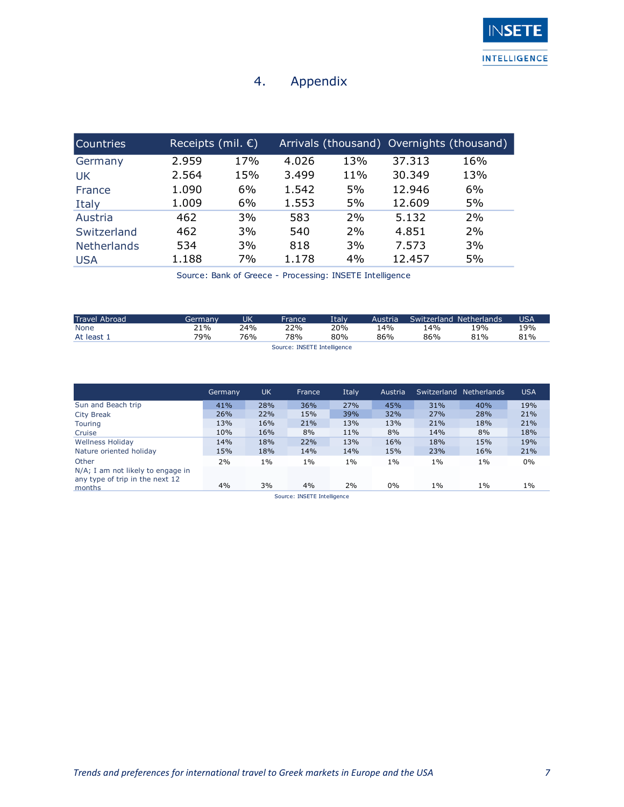## 4. Appendix

| <b>Countries</b>   | Receipts (mil. $\epsilon$ ) |     |       |     |        | Arrivals (thousand) Overnights (thousand) |
|--------------------|-----------------------------|-----|-------|-----|--------|-------------------------------------------|
| Germany            | 2.959                       | 17% | 4.026 | 13% | 37.313 | 16%                                       |
| UK                 | 2.564                       | 15% | 3.499 | 11% | 30.349 | 13%                                       |
| France             | 1.090                       | 6%  | 1.542 | 5%  | 12.946 | 6%                                        |
| Italy              | 1.009                       | 6%  | 1.553 | 5%  | 12.609 | 5%                                        |
| Austria            | 462                         | 3%  | 583   | 2%  | 5.132  | 2%                                        |
| Switzerland        | 462                         | 3%  | 540   | 2%  | 4.851  | 2%                                        |
| <b>Netherlands</b> | 534                         | 3%  | 818   | 3%  | 7.573  | 3%                                        |
| <b>USA</b>         | 1.188                       | 7%  | 1.178 | 4%  | 12.457 | 5%                                        |

Source: Bank of Greece - Processing: INSETE Intelligence

| <b>Travel Abroad</b> | Germanv | UK  | France                      | Italv | Austria | Switzerland Netherlands |     | <b>USA</b> |
|----------------------|---------|-----|-----------------------------|-------|---------|-------------------------|-----|------------|
| None                 | 21%     | 24% | 22%                         | 20%   | 14%     | 14%                     | 19% | 19%        |
| At least 1           | 79%     | 76% | 78%                         | 80%   | 86%     | 86%                     | 81% | 81%        |
|                      |         |     | Source: INSETE Intelligence |       |         |                         |     |            |

|                                                                      | Germany | <b>UK</b> | <b>France</b> | Italy. | Austria | Switzerland | <b>Netherlands</b> | <b>USA</b> |  |  |
|----------------------------------------------------------------------|---------|-----------|---------------|--------|---------|-------------|--------------------|------------|--|--|
| Sun and Beach trip                                                   | 41%     | 28%       | 36%           | 27%    | 45%     | 31%         | 40%                | 19%        |  |  |
| <b>City Break</b>                                                    | 26%     | 22%       | 15%           | 39%    | 32%     | 27%         | 28%                | 21%        |  |  |
| Touring                                                              | 13%     | 16%       | 21%           | 13%    | 13%     | 21%         | 18%                | 21%        |  |  |
| Cruise                                                               | 10%     | 16%       | 8%            | 11%    | 8%      | 14%         | 8%                 | 18%        |  |  |
| <b>Wellness Holiday</b>                                              | 14%     | 18%       | 22%           | 13%    | 16%     | 18%         | 15%                | 19%        |  |  |
| Nature oriented holiday                                              | 15%     | 18%       | 14%           | 14%    | 15%     | 23%         | 16%                | 21%        |  |  |
| Other                                                                | 2%      | $1\%$     | $1\%$         | $1\%$  | $1\%$   | $1\%$       | $1\%$              | 0%         |  |  |
| N/A; I am not likely to engage in<br>any type of trip in the next 12 |         |           |               |        |         |             |                    |            |  |  |
| months                                                               | 4%      | 3%        | 4%            | 2%     | 0%      | $1\%$       | $1\%$              | $1\%$      |  |  |
| Source: INSETE Intelligence                                          |         |           |               |        |         |             |                    |            |  |  |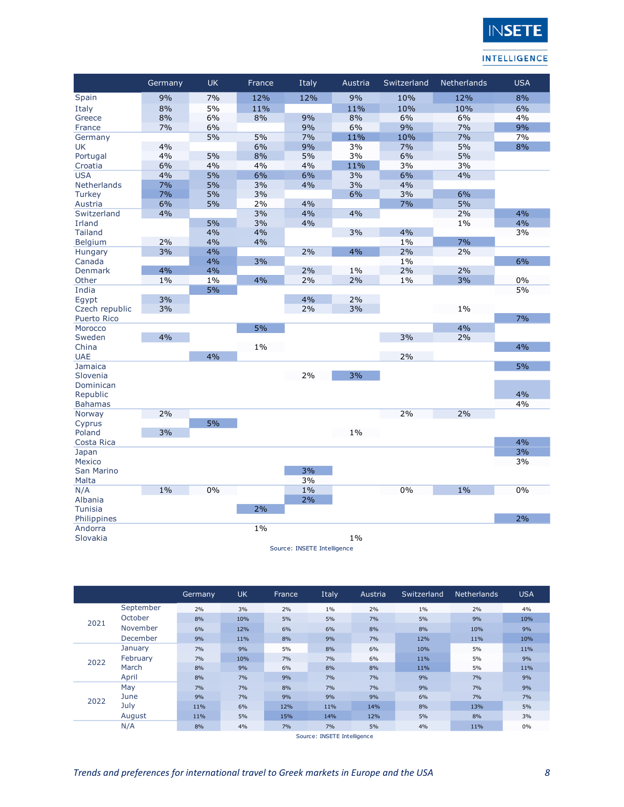

| 7%<br>9%<br>12%<br>9%<br>12%<br>12%<br>10%<br>8%<br>8%<br>5%<br>10%<br>10%<br>6%<br>Italy<br>11%<br>11%<br>8%<br>8%<br>9%<br>8%<br>6%<br>6%<br>4%<br>6%<br>Greece<br>9%<br>7%<br>6%<br>9%<br>6%<br>7%<br>9%<br>France<br>5%<br>5%<br>7%<br>11%<br>10%<br>7%<br>7%<br>Germany<br>4%<br>6%<br>9%<br>3%<br>7%<br>5%<br>8%<br>UK<br>4%<br>5%<br>8%<br>5%<br>3%<br>6%<br>5%<br>Portugal<br>6%<br>4%<br>4%<br>11%<br>3%<br>Croatia<br>4%<br>3%<br><b>USA</b><br>4%<br>5%<br>6%<br>6%<br>3%<br>6%<br>4%<br><b>Netherlands</b><br>7%<br>5%<br>3%<br>4%<br>3%<br>4%<br>6%<br>7%<br>5%<br>3%<br>3%<br><b>Turkey</b><br>6%<br>5%<br>6%<br>5%<br>2%<br>4%<br>7%<br>Austria<br>3%<br>2%<br>4%<br>Switzerland<br>4%<br>4%<br>4%<br>5%<br>Irland<br>3%<br>4%<br>$1\%$<br>4%<br>4%<br>4%<br><b>Tailand</b><br>4%<br>3%<br>3%<br>7%<br><b>Belgium</b><br>2%<br>4%<br>4%<br>$1\%$<br>3%<br>4%<br>4%<br>2%<br>2%<br>2%<br>Hungary<br>4%<br>3%<br>6%<br>Canada<br>$1\%$<br>4%<br>2%<br>2%<br>4%<br>2%<br><b>Denmark</b><br>$1\%$<br>4%<br>2%<br>3%<br>2%<br>$1\%$<br>0%<br>Other<br>$1\%$<br>1%<br>5%<br>India<br>5%<br>3%<br>4%<br>2%<br>Egypt<br>3%<br>$1\%$<br>Czech republic<br>3%<br>2%<br>7%<br><b>Puerto Rico</b><br>4%<br>5%<br>Morocco<br>4%<br>3%<br>Sweden<br>2%<br>$1\%$<br>4%<br>China<br>4%<br>2%<br><b>UAE</b><br>5%<br>Jamaica<br>3%<br>2%<br>Slovenia<br>Dominican<br>4%<br>Republic<br>4%<br><b>Bahamas</b><br>2%<br>2%<br>2%<br>Norway<br>5%<br>Cyprus<br>3%<br>$1\%$<br>Poland<br>4%<br>Costa Rica<br>3%<br>Japan<br>3%<br>Mexico<br>3%<br>San Marino |             | Germany | <b>UK</b> | France | Italy | Austria | Switzerland | Netherlands | <b>USA</b> |
|-------------------------------------------------------------------------------------------------------------------------------------------------------------------------------------------------------------------------------------------------------------------------------------------------------------------------------------------------------------------------------------------------------------------------------------------------------------------------------------------------------------------------------------------------------------------------------------------------------------------------------------------------------------------------------------------------------------------------------------------------------------------------------------------------------------------------------------------------------------------------------------------------------------------------------------------------------------------------------------------------------------------------------------------------------------------------------------------------------------------------------------------------------------------------------------------------------------------------------------------------------------------------------------------------------------------------------------------------------------------------------------------------------------------------------------------------------------------------------------------------------------------------------------------------------|-------------|---------|-----------|--------|-------|---------|-------------|-------------|------------|
|                                                                                                                                                                                                                                                                                                                                                                                                                                                                                                                                                                                                                                                                                                                                                                                                                                                                                                                                                                                                                                                                                                                                                                                                                                                                                                                                                                                                                                                                                                                                                       | Spain       |         |           |        |       |         |             |             |            |
|                                                                                                                                                                                                                                                                                                                                                                                                                                                                                                                                                                                                                                                                                                                                                                                                                                                                                                                                                                                                                                                                                                                                                                                                                                                                                                                                                                                                                                                                                                                                                       |             |         |           |        |       |         |             |             |            |
|                                                                                                                                                                                                                                                                                                                                                                                                                                                                                                                                                                                                                                                                                                                                                                                                                                                                                                                                                                                                                                                                                                                                                                                                                                                                                                                                                                                                                                                                                                                                                       |             |         |           |        |       |         |             |             |            |
|                                                                                                                                                                                                                                                                                                                                                                                                                                                                                                                                                                                                                                                                                                                                                                                                                                                                                                                                                                                                                                                                                                                                                                                                                                                                                                                                                                                                                                                                                                                                                       |             |         |           |        |       |         |             |             |            |
|                                                                                                                                                                                                                                                                                                                                                                                                                                                                                                                                                                                                                                                                                                                                                                                                                                                                                                                                                                                                                                                                                                                                                                                                                                                                                                                                                                                                                                                                                                                                                       |             |         |           |        |       |         |             |             |            |
|                                                                                                                                                                                                                                                                                                                                                                                                                                                                                                                                                                                                                                                                                                                                                                                                                                                                                                                                                                                                                                                                                                                                                                                                                                                                                                                                                                                                                                                                                                                                                       |             |         |           |        |       |         |             |             |            |
|                                                                                                                                                                                                                                                                                                                                                                                                                                                                                                                                                                                                                                                                                                                                                                                                                                                                                                                                                                                                                                                                                                                                                                                                                                                                                                                                                                                                                                                                                                                                                       |             |         |           |        |       |         |             |             |            |
|                                                                                                                                                                                                                                                                                                                                                                                                                                                                                                                                                                                                                                                                                                                                                                                                                                                                                                                                                                                                                                                                                                                                                                                                                                                                                                                                                                                                                                                                                                                                                       |             |         |           |        |       |         |             |             |            |
|                                                                                                                                                                                                                                                                                                                                                                                                                                                                                                                                                                                                                                                                                                                                                                                                                                                                                                                                                                                                                                                                                                                                                                                                                                                                                                                                                                                                                                                                                                                                                       |             |         |           |        |       |         |             |             |            |
|                                                                                                                                                                                                                                                                                                                                                                                                                                                                                                                                                                                                                                                                                                                                                                                                                                                                                                                                                                                                                                                                                                                                                                                                                                                                                                                                                                                                                                                                                                                                                       |             |         |           |        |       |         |             |             |            |
|                                                                                                                                                                                                                                                                                                                                                                                                                                                                                                                                                                                                                                                                                                                                                                                                                                                                                                                                                                                                                                                                                                                                                                                                                                                                                                                                                                                                                                                                                                                                                       |             |         |           |        |       |         |             |             |            |
|                                                                                                                                                                                                                                                                                                                                                                                                                                                                                                                                                                                                                                                                                                                                                                                                                                                                                                                                                                                                                                                                                                                                                                                                                                                                                                                                                                                                                                                                                                                                                       |             |         |           |        |       |         |             |             |            |
|                                                                                                                                                                                                                                                                                                                                                                                                                                                                                                                                                                                                                                                                                                                                                                                                                                                                                                                                                                                                                                                                                                                                                                                                                                                                                                                                                                                                                                                                                                                                                       |             |         |           |        |       |         |             |             |            |
|                                                                                                                                                                                                                                                                                                                                                                                                                                                                                                                                                                                                                                                                                                                                                                                                                                                                                                                                                                                                                                                                                                                                                                                                                                                                                                                                                                                                                                                                                                                                                       |             |         |           |        |       |         |             |             |            |
|                                                                                                                                                                                                                                                                                                                                                                                                                                                                                                                                                                                                                                                                                                                                                                                                                                                                                                                                                                                                                                                                                                                                                                                                                                                                                                                                                                                                                                                                                                                                                       |             |         |           |        |       |         |             |             |            |
|                                                                                                                                                                                                                                                                                                                                                                                                                                                                                                                                                                                                                                                                                                                                                                                                                                                                                                                                                                                                                                                                                                                                                                                                                                                                                                                                                                                                                                                                                                                                                       |             |         |           |        |       |         |             |             |            |
|                                                                                                                                                                                                                                                                                                                                                                                                                                                                                                                                                                                                                                                                                                                                                                                                                                                                                                                                                                                                                                                                                                                                                                                                                                                                                                                                                                                                                                                                                                                                                       |             |         |           |        |       |         |             |             |            |
|                                                                                                                                                                                                                                                                                                                                                                                                                                                                                                                                                                                                                                                                                                                                                                                                                                                                                                                                                                                                                                                                                                                                                                                                                                                                                                                                                                                                                                                                                                                                                       |             |         |           |        |       |         |             |             |            |
|                                                                                                                                                                                                                                                                                                                                                                                                                                                                                                                                                                                                                                                                                                                                                                                                                                                                                                                                                                                                                                                                                                                                                                                                                                                                                                                                                                                                                                                                                                                                                       |             |         |           |        |       |         |             |             |            |
|                                                                                                                                                                                                                                                                                                                                                                                                                                                                                                                                                                                                                                                                                                                                                                                                                                                                                                                                                                                                                                                                                                                                                                                                                                                                                                                                                                                                                                                                                                                                                       |             |         |           |        |       |         |             |             |            |
|                                                                                                                                                                                                                                                                                                                                                                                                                                                                                                                                                                                                                                                                                                                                                                                                                                                                                                                                                                                                                                                                                                                                                                                                                                                                                                                                                                                                                                                                                                                                                       |             |         |           |        |       |         |             |             |            |
|                                                                                                                                                                                                                                                                                                                                                                                                                                                                                                                                                                                                                                                                                                                                                                                                                                                                                                                                                                                                                                                                                                                                                                                                                                                                                                                                                                                                                                                                                                                                                       |             |         |           |        |       |         |             |             |            |
|                                                                                                                                                                                                                                                                                                                                                                                                                                                                                                                                                                                                                                                                                                                                                                                                                                                                                                                                                                                                                                                                                                                                                                                                                                                                                                                                                                                                                                                                                                                                                       |             |         |           |        |       |         |             |             |            |
|                                                                                                                                                                                                                                                                                                                                                                                                                                                                                                                                                                                                                                                                                                                                                                                                                                                                                                                                                                                                                                                                                                                                                                                                                                                                                                                                                                                                                                                                                                                                                       |             |         |           |        |       |         |             |             |            |
|                                                                                                                                                                                                                                                                                                                                                                                                                                                                                                                                                                                                                                                                                                                                                                                                                                                                                                                                                                                                                                                                                                                                                                                                                                                                                                                                                                                                                                                                                                                                                       |             |         |           |        |       |         |             |             |            |
|                                                                                                                                                                                                                                                                                                                                                                                                                                                                                                                                                                                                                                                                                                                                                                                                                                                                                                                                                                                                                                                                                                                                                                                                                                                                                                                                                                                                                                                                                                                                                       |             |         |           |        |       |         |             |             |            |
|                                                                                                                                                                                                                                                                                                                                                                                                                                                                                                                                                                                                                                                                                                                                                                                                                                                                                                                                                                                                                                                                                                                                                                                                                                                                                                                                                                                                                                                                                                                                                       |             |         |           |        |       |         |             |             |            |
|                                                                                                                                                                                                                                                                                                                                                                                                                                                                                                                                                                                                                                                                                                                                                                                                                                                                                                                                                                                                                                                                                                                                                                                                                                                                                                                                                                                                                                                                                                                                                       |             |         |           |        |       |         |             |             |            |
|                                                                                                                                                                                                                                                                                                                                                                                                                                                                                                                                                                                                                                                                                                                                                                                                                                                                                                                                                                                                                                                                                                                                                                                                                                                                                                                                                                                                                                                                                                                                                       |             |         |           |        |       |         |             |             |            |
|                                                                                                                                                                                                                                                                                                                                                                                                                                                                                                                                                                                                                                                                                                                                                                                                                                                                                                                                                                                                                                                                                                                                                                                                                                                                                                                                                                                                                                                                                                                                                       |             |         |           |        |       |         |             |             |            |
|                                                                                                                                                                                                                                                                                                                                                                                                                                                                                                                                                                                                                                                                                                                                                                                                                                                                                                                                                                                                                                                                                                                                                                                                                                                                                                                                                                                                                                                                                                                                                       |             |         |           |        |       |         |             |             |            |
|                                                                                                                                                                                                                                                                                                                                                                                                                                                                                                                                                                                                                                                                                                                                                                                                                                                                                                                                                                                                                                                                                                                                                                                                                                                                                                                                                                                                                                                                                                                                                       |             |         |           |        |       |         |             |             |            |
|                                                                                                                                                                                                                                                                                                                                                                                                                                                                                                                                                                                                                                                                                                                                                                                                                                                                                                                                                                                                                                                                                                                                                                                                                                                                                                                                                                                                                                                                                                                                                       |             |         |           |        |       |         |             |             |            |
|                                                                                                                                                                                                                                                                                                                                                                                                                                                                                                                                                                                                                                                                                                                                                                                                                                                                                                                                                                                                                                                                                                                                                                                                                                                                                                                                                                                                                                                                                                                                                       |             |         |           |        |       |         |             |             |            |
|                                                                                                                                                                                                                                                                                                                                                                                                                                                                                                                                                                                                                                                                                                                                                                                                                                                                                                                                                                                                                                                                                                                                                                                                                                                                                                                                                                                                                                                                                                                                                       |             |         |           |        |       |         |             |             |            |
|                                                                                                                                                                                                                                                                                                                                                                                                                                                                                                                                                                                                                                                                                                                                                                                                                                                                                                                                                                                                                                                                                                                                                                                                                                                                                                                                                                                                                                                                                                                                                       |             |         |           |        |       |         |             |             |            |
|                                                                                                                                                                                                                                                                                                                                                                                                                                                                                                                                                                                                                                                                                                                                                                                                                                                                                                                                                                                                                                                                                                                                                                                                                                                                                                                                                                                                                                                                                                                                                       |             |         |           |        |       |         |             |             |            |
|                                                                                                                                                                                                                                                                                                                                                                                                                                                                                                                                                                                                                                                                                                                                                                                                                                                                                                                                                                                                                                                                                                                                                                                                                                                                                                                                                                                                                                                                                                                                                       |             |         |           |        |       |         |             |             |            |
|                                                                                                                                                                                                                                                                                                                                                                                                                                                                                                                                                                                                                                                                                                                                                                                                                                                                                                                                                                                                                                                                                                                                                                                                                                                                                                                                                                                                                                                                                                                                                       |             |         |           |        |       |         |             |             |            |
| 3%<br>Malta                                                                                                                                                                                                                                                                                                                                                                                                                                                                                                                                                                                                                                                                                                                                                                                                                                                                                                                                                                                                                                                                                                                                                                                                                                                                                                                                                                                                                                                                                                                                           |             |         |           |        |       |         |             |             |            |
| 0%<br>$1\%$<br>0%<br>1%<br>0%<br>$1\%$                                                                                                                                                                                                                                                                                                                                                                                                                                                                                                                                                                                                                                                                                                                                                                                                                                                                                                                                                                                                                                                                                                                                                                                                                                                                                                                                                                                                                                                                                                                | N/A         |         |           |        |       |         |             |             |            |
| Albania<br>2%                                                                                                                                                                                                                                                                                                                                                                                                                                                                                                                                                                                                                                                                                                                                                                                                                                                                                                                                                                                                                                                                                                                                                                                                                                                                                                                                                                                                                                                                                                                                         |             |         |           |        |       |         |             |             |            |
| 2%<br><b>Tunisia</b>                                                                                                                                                                                                                                                                                                                                                                                                                                                                                                                                                                                                                                                                                                                                                                                                                                                                                                                                                                                                                                                                                                                                                                                                                                                                                                                                                                                                                                                                                                                                  |             |         |           |        |       |         |             |             |            |
| 2%                                                                                                                                                                                                                                                                                                                                                                                                                                                                                                                                                                                                                                                                                                                                                                                                                                                                                                                                                                                                                                                                                                                                                                                                                                                                                                                                                                                                                                                                                                                                                    | Philippines |         |           |        |       |         |             |             |            |
| $1\%$<br>Andorra                                                                                                                                                                                                                                                                                                                                                                                                                                                                                                                                                                                                                                                                                                                                                                                                                                                                                                                                                                                                                                                                                                                                                                                                                                                                                                                                                                                                                                                                                                                                      |             |         |           |        |       |         |             |             |            |
| $1\%$<br>Slovakia                                                                                                                                                                                                                                                                                                                                                                                                                                                                                                                                                                                                                                                                                                                                                                                                                                                                                                                                                                                                                                                                                                                                                                                                                                                                                                                                                                                                                                                                                                                                     |             |         |           |        |       |         |             |             |            |
| Source: INSETE Intelligence                                                                                                                                                                                                                                                                                                                                                                                                                                                                                                                                                                                                                                                                                                                                                                                                                                                                                                                                                                                                                                                                                                                                                                                                                                                                                                                                                                                                                                                                                                                           |             |         |           |        |       |         |             |             |            |

|                             |           | Germany | <b>UK</b> | France | Italy | Austria | Switzerland | <b>Netherlands</b> | <b>USA</b> |
|-----------------------------|-----------|---------|-----------|--------|-------|---------|-------------|--------------------|------------|
|                             | September | 2%      | 3%        | 2%     | $1\%$ | 2%      | 1%          | 2%                 | 4%         |
| 2021                        | October   | 8%      | 10%       | 5%     | 5%    | 7%      | 5%          | 9%                 | 10%        |
|                             | November  | 6%      | 12%       | 6%     | 6%    | 8%      | 8%          | 10%                | 9%         |
|                             | December  | 9%      | 11%       | 8%     | 9%    | 7%      | 12%         | 11%                | 10%        |
|                             | January   | 7%      | 9%        | 5%     | 8%    | 6%      | 10%         | 5%                 | 11%        |
| 2022                        | February  | 7%      | 10%       | 7%     | 7%    | 6%      | 11%         | 5%                 | 9%         |
|                             | March     | 8%      | 9%        | 6%     | 8%    | 8%      | 11%         | 5%                 | 11%        |
|                             | April     | 8%      | 7%        | 9%     | 7%    | 7%      | 9%          | 7%                 | 9%         |
|                             | May       | 7%      | 7%        | 8%     | 7%    | 7%      | 9%          | 7%                 | 9%         |
| 2022                        | June      | 9%      | 7%        | 9%     | 9%    | 9%      | 6%          | 7%                 | 7%         |
|                             | July      | 11%     | 6%        | 12%    | 11%   | 14%     | 8%          | 13%                | 5%         |
|                             | August    | 11%     | 5%        | 15%    | 14%   | 12%     | 5%          | 8%                 | 3%         |
|                             | N/A       | 8%      | 4%        | 7%     | 7%    | 5%      | 4%          | 11%                | 0%         |
| Source: INSETE Intelligence |           |         |           |        |       |         |             |                    |            |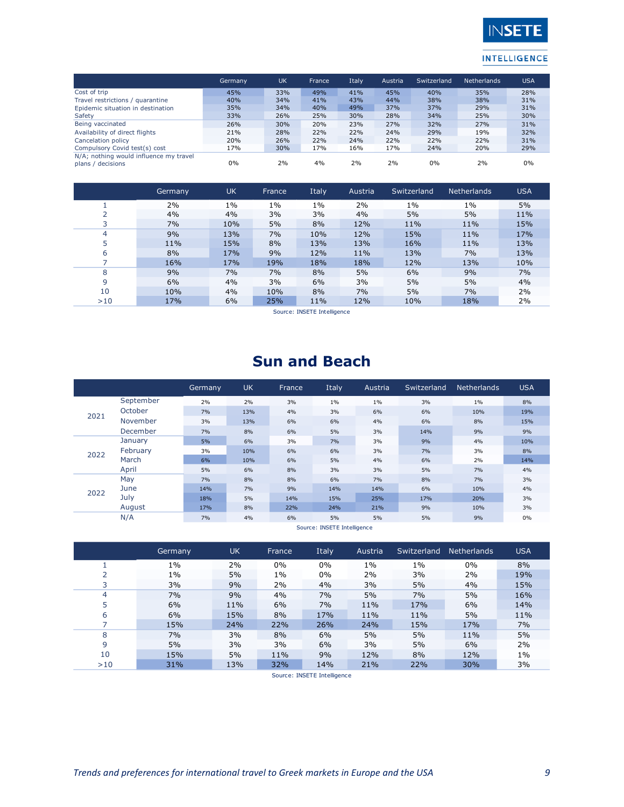

|                                                             | Germany | UK  | France | Italy | Austria | Switzerland | <b>Netherlands</b> | <b>USA</b> |
|-------------------------------------------------------------|---------|-----|--------|-------|---------|-------------|--------------------|------------|
| Cost of trip                                                | 45%     | 33% | 49%    | 41%   | 45%     | 40%         | 35%                | 28%        |
| Travel restrictions / quarantine                            | 40%     | 34% | 41%    | 43%   | 44%     | 38%         | 38%                | 31%        |
| Epidemic situation in destination                           | 35%     | 34% | 40%    | 49%   | 37%     | 37%         | 29%                | 31%        |
| Safety                                                      | 33%     | 26% | 25%    | 30%   | 28%     | 34%         | 25%                | 30%        |
| Being vaccinated                                            | 26%     | 30% | 20%    | 23%   | 27%     | 32%         | 27%                | 31%        |
| Availability of direct flights                              | 21%     | 28% | 22%    | 22%   | 24%     | 29%         | 19%                | 32%        |
| Cancelation policy                                          | 20%     | 26% | 22%    | 24%   | 22%     | 22%         | 22%                | 31%        |
| Compulsory Covid test(s) cost                               | 17%     | 30% | 17%    | 16%   | 17%     | 24%         | 20%                | 29%        |
| N/A; nothing would influence my travel<br>plans / decisions | 0%      | 2%  | 4%     | 2%    | 2%      | 0%          | 2%                 | 0%         |

|     | Germany | <b>UK</b> | France | Italy | Austria | Switzerland | <b>Netherlands</b> | <b>USA</b> |
|-----|---------|-----------|--------|-------|---------|-------------|--------------------|------------|
|     | 2%      | $1\%$     | $1\%$  | $1\%$ | 2%      | $1\%$       | $1\%$              | 5%         |
| ∍   | 4%      | 4%        | 3%     | 3%    | 4%      | 5%          | 5%                 | 11%        |
| 3   | 7%      | 10%       | 5%     | 8%    | 12%     | 11%         | 11%                | 15%        |
| 4   | 9%      | 13%       | 7%     | 10%   | 12%     | 15%         | 11%                | 17%        |
|     | 11%     | 15%       | 8%     | 13%   | 13%     | 16%         | 11%                | 13%        |
| 6   | 8%      | 17%       | 9%     | 12%   | 11%     | 13%         | 7%                 | 13%        |
|     | 16%     | 17%       | 19%    | 18%   | 18%     | 12%         | 13%                | 10%        |
| 8   | 9%      | 7%        | 7%     | 8%    | 5%      | 6%          | 9%                 | 7%         |
| 9   | 6%      | 4%        | 3%     | 6%    | 3%      | 5%          | 5%                 | 4%         |
| 10  | 10%     | 4%        | 10%    | 8%    | 7%      | 5%          | 7%                 | 2%         |
| >10 | 17%     | 6%        | 25%    | 11%   | 12%     | 10%         | 18%                | 2%         |

Source: INSETE Intelligence

## **Sun and Beach**

|      |           | Germany | <b>UK</b> | France | Italy | Austria | Switzerland | <b>Netherlands</b> | <b>USA</b> |
|------|-----------|---------|-----------|--------|-------|---------|-------------|--------------------|------------|
|      | September | 2%      | 2%        | 3%     | $1\%$ | $1\%$   | 3%          | $1\%$              | 8%         |
| 2021 | October   | 7%      | 13%       | 4%     | 3%    | 6%      | 6%          | 10%                | 19%        |
|      | November  | 3%      | 13%       | 6%     | 6%    | 4%      | 6%          | 8%                 | 15%        |
|      | December  | 7%      | 8%        | 6%     | 5%    | 3%      | 14%         | 9%                 | 9%         |
|      | January   | 5%      | 6%        | 3%     | 7%    | 3%      | 9%          | 4%                 | 10%        |
| 2022 | February  | 3%      | 10%       | 6%     | 6%    | 3%      | 7%          | 3%                 | 8%         |
|      | March     | 6%      | 10%       | 6%     | 5%    | 4%      | 6%          | 2%                 | 14%        |
|      | April     | 5%      | 6%        | 8%     | 3%    | 3%      | 5%          | 7%                 | 4%         |
|      | May       | 7%      | 8%        | 8%     | 6%    | 7%      | 8%          | 7%                 | 3%         |
| 2022 | June      | 14%     | 7%        | 9%     | 14%   | 14%     | 6%          | 10%                | 4%         |
|      | July      | 18%     | 5%        | 14%    | 15%   | 25%     | 17%         | 20%                | 3%         |
|      | August    | 17%     | 8%        | 22%    | 24%   | 21%     | 9%          | 10%                | 3%         |
|      | N/A       | 7%      | 4%        | 6%     | 5%    | 5%      | 5%          | 9%                 | 0%         |

Source: INSETE Intelligence

|     | Germany | <b>UK</b> | France | Italy | Austria | Switzerland | <b>Netherlands</b> | <b>USA</b> |
|-----|---------|-----------|--------|-------|---------|-------------|--------------------|------------|
|     | $1\%$   | 2%        | $0\%$  | 0%    | $1\%$   | $1\%$       | $0\%$              | 8%         |
|     | $1\%$   | 5%        | $1\%$  | 0%    | 2%      | 3%          | 2%                 | 19%        |
|     | 3%      | 9%        | 2%     | 4%    | 3%      | 5%          | 4%                 | 15%        |
| 4   | 7%      | 9%        | 4%     | 7%    | 5%      | 7%          | 5%                 | 16%        |
| 5   | 6%      | 11%       | 6%     | 7%    | 11%     | 17%         | 6%                 | 14%        |
| 6   | 6%      | 15%       | 8%     | 17%   | 11%     | 11%         | 5%                 | 11%        |
|     | 15%     | 24%       | 22%    | 26%   | 24%     | 15%         | 17%                | 7%         |
| 8   | 7%      | 3%        | 8%     | 6%    | 5%      | 5%          | 11%                | 5%         |
| 9   | 5%      | 3%        | 3%     | 6%    | 3%      | 5%          | 6%                 | 2%         |
| 10  | 15%     | 5%        | 11%    | 9%    | 12%     | 8%          | 12%                | $1\%$      |
| >10 | 31%     | 13%       | 32%    | 14%   | 21%     | 22%         | 30%                | 3%         |

Source: INSETE Intelligence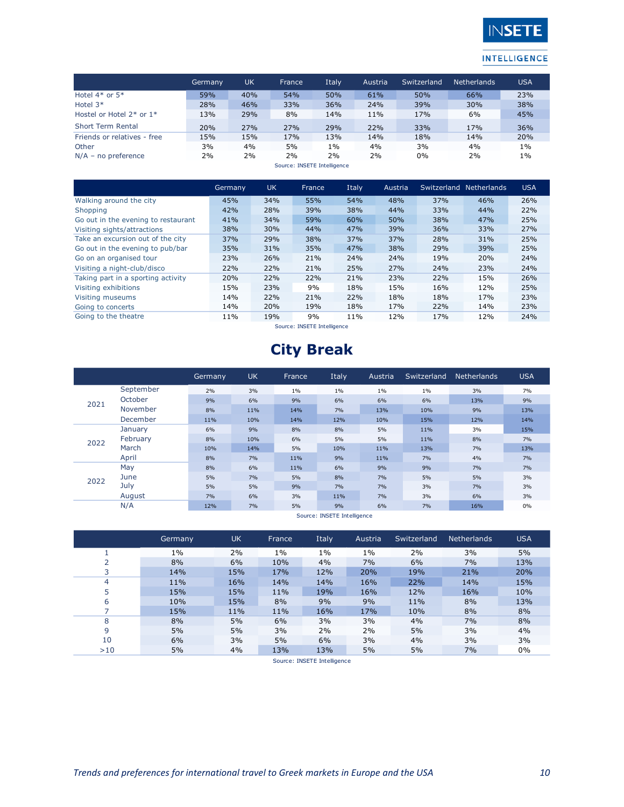

|                                | Germany | <b>UK</b> | France | Italy                       | Austria | Switzerland | <b>Netherlands</b> | <b>USA</b> |
|--------------------------------|---------|-----------|--------|-----------------------------|---------|-------------|--------------------|------------|
| Hotel $4*$ or $5*$             | 59%     | 40%       | 54%    | 50%                         | 61%     | 50%         | 66%                | 23%        |
| Hotel $3*$                     | 28%     | 46%       | 33%    | 36%                         | 24%     | 39%         | 30%                | 38%        |
| Hostel or Hotel $2^*$ or $1^*$ | 13%     | 29%       | 8%     | 14%                         | 11%     | 17%         | 6%                 | 45%        |
| <b>Short Term Rental</b>       | 20%     | 27%       | 27%    | 29%                         | 22%     | 33%         | 17%                | 36%        |
| Friends or relatives - free    | 15%     | 15%       | 17%    | 13%                         | 14%     | 18%         | 14%                | 20%        |
| Other                          | 3%      | 4%        | 5%     | 1%                          | 4%      | 3%          | 4%                 | 1%         |
| $N/A$ – no preference          | 2%      | 2%        | 2%     | 2%                          | 2%      | $0\%$       | 2%                 | 1%         |
|                                |         |           |        | Course: INCETE Istolligance |         |             |                    |            |

Source: INSETE Intelligence

|                                     | Germany | <b>UK</b> | France | Italy | Austria |     | Switzerland Netherlands | <b>USA</b> |
|-------------------------------------|---------|-----------|--------|-------|---------|-----|-------------------------|------------|
| Walking around the city             | 45%     | 34%       | 55%    | 54%   | 48%     | 37% | 46%                     | 26%        |
| Shopping                            | 42%     | 28%       | 39%    | 38%   | 44%     | 33% | 44%                     | 22%        |
| Go out in the evening to restaurant | 41%     | 34%       | 59%    | 60%   | 50%     | 38% | 47%                     | 25%        |
| Visiting sights/attractions         | 38%     | 30%       | 44%    | 47%   | 39%     | 36% | 33%                     | 27%        |
| Take an excursion out of the city   | 37%     | 29%       | 38%    | 37%   | 37%     | 28% | 31%                     | 25%        |
| Go out in the evening to pub/bar    | 35%     | 31%       | 35%    | 47%   | 38%     | 29% | 39%                     | 25%        |
| Go on an organised tour             | 23%     | 26%       | 21%    | 24%   | 24%     | 19% | 20%                     | 24%        |
| Visiting a night-club/disco         | 22%     | 22%       | 21%    | 25%   | 27%     | 24% | 23%                     | 24%        |
| Taking part in a sporting activity  | 20%     | 22%       | 22%    | 21%   | 23%     | 22% | 15%                     | 26%        |
| Visiting exhibitions                | 15%     | 23%       | 9%     | 18%   | 15%     | 16% | 12%                     | 25%        |
| Visiting museums                    | 14%     | 22%       | 21%    | 22%   | 18%     | 18% | 17%                     | 23%        |
| Going to concerts                   | 14%     | 20%       | 19%    | 18%   | 17%     | 22% | 14%                     | 23%        |
| Going to the theatre                | 11%     | 19%       | 9%     | 11%   | 12%     | 17% | 12%                     | 24%        |

Source: INSETE Intelligence

# **City Break**

|      |           | Germany | <b>UK</b> | <b>France</b> | Italy | Austria | Switzerland | <b>Netherlands</b> | <b>USA</b> |
|------|-----------|---------|-----------|---------------|-------|---------|-------------|--------------------|------------|
|      | September | 2%      | 3%        | $1\%$         | $1\%$ | 1%      | $1\%$       | 3%                 | 7%         |
| 2021 | October   | 9%      | 6%        | 9%            | 6%    | 6%      | 6%          | 13%                | 9%         |
|      | November  | 8%      | 11%       | 14%           | 7%    | 13%     | 10%         | 9%                 | 13%        |
|      | December  | 11%     | 10%       | 14%           | 12%   | 10%     | 15%         | 12%                | 14%        |
|      | January   | 6%      | 9%        | 8%            | 8%    | 5%      | 11%         | 3%                 | 15%        |
| 2022 | February  | 8%      | 10%       | 6%            | 5%    | 5%      | 11%         | 8%                 | 7%         |
|      | March     | 10%     | 14%       | 5%            | 10%   | 11%     | 13%         | 7%                 | 13%        |
|      | April     | 8%      | 7%        | 11%           | 9%    | 11%     | 7%          | 4%                 | 7%         |
|      | May       | 8%      | 6%        | 11%           | 6%    | 9%      | 9%          | 7%                 | 7%         |
| 2022 | June      | 5%      | 7%        | 5%            | 8%    | 7%      | 5%          | 5%                 | 3%         |
|      | July      | 5%      | 5%        | 9%            | 7%    | 7%      | 3%          | 7%                 | 3%         |
|      | August    | 7%      | 6%        | 3%            | 11%   | 7%      | 3%          | 6%                 | 3%         |
|      | N/A       | 12%     | 7%        | 5%            | 9%    | 6%      | 7%          | 16%                | 0%         |

Source: INSETE Intelligence

|     | Germany | <b>UK</b> | <b>France</b> | Italy | Austria | Switzerland | Netherlands | <b>USA</b> |
|-----|---------|-----------|---------------|-------|---------|-------------|-------------|------------|
|     | $1\%$   | 2%        | $1\%$         | $1\%$ | $1\%$   | 2%          | 3%          | 5%         |
|     | 8%      | 6%        | 10%           | 4%    | 7%      | 6%          | 7%          | 13%        |
|     | 14%     | 15%       | 17%           | 12%   | 20%     | 19%         | 21%         | 20%        |
| 4   | 11%     | 16%       | 14%           | 14%   | 16%     | 22%         | 14%         | 15%        |
| 5   | 15%     | 15%       | 11%           | 19%   | 16%     | 12%         | 16%         | 10%        |
| 6   | 10%     | 15%       | 8%            | 9%    | 9%      | 11%         | 8%          | 13%        |
|     | 15%     | 11%       | 11%           | 16%   | 17%     | 10%         | 8%          | 8%         |
| 8   | 8%      | 5%        | 6%            | 3%    | 3%      | 4%          | 7%          | 8%         |
| 9   | 5%      | 5%        | 3%            | 2%    | 2%      | 5%          | 3%          | 4%         |
| 10  | 6%      | 3%        | 5%            | 6%    | 3%      | 4%          | 3%          | 3%         |
| >10 | 5%      | 4%        | 13%           | 13%   | 5%      | 5%          | 7%          | 0%         |

Source: INSETE Intelligence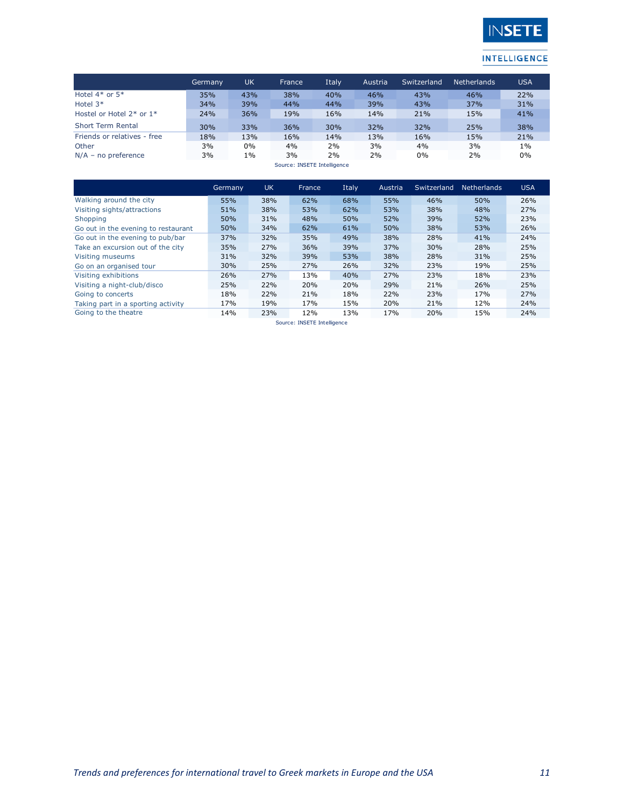

|                              | Germany | UK    | France | Italy | Austria | Switzerland | <b>Netherlands</b> | <b>USA</b> |  |  |  |
|------------------------------|---------|-------|--------|-------|---------|-------------|--------------------|------------|--|--|--|
| Hotel $4*$ or $5*$           | 35%     | 43%   | 38%    | 40%   | 46%     | 43%         | 46%                | 22%        |  |  |  |
| Hotel $3*$                   | 34%     | 39%   | 44%    | 44%   | 39%     | 43%         | 37%                | 31%        |  |  |  |
| Hostel or Hotel $2*$ or $1*$ | 24%     | 36%   | 19%    | 16%   | 14%     | 21%         | 15%                | 41%        |  |  |  |
| Short Term Rental            | 30%     | 33%   | 36%    | 30%   | 32%     | 32%         | 25%                | 38%        |  |  |  |
| Friends or relatives - free  | 18%     | 13%   | 16%    | 14%   | 13%     | 16%         | 15%                | 21%        |  |  |  |
| Other                        | 3%      | $0\%$ | 4%     | 2%    | 3%      | 4%          | 3%                 | 1%         |  |  |  |
| $N/A$ – no preference        | 3%      | $1\%$ | 3%     | 2%    | 2%      | 0%          | 2%                 | 0%         |  |  |  |
| Source: INSETE Intelligence  |         |       |        |       |         |             |                    |            |  |  |  |

Germany UK France Italy Austria Switzerland Netherlands USA Walking around the city 55% 38% 62% 68% 55% 46% 50% 26% Visiting sights/attractions **51% 38% 53% 62% 53% 38% 48% 27%**<br>Shopping 50% 50% 31% 48% 50% 52% 39% 52% 23% Shopping 50% 31% 48% 50% 52% 39% 52% 23% Go out in the evening to restaurant 50% 34% 62% 61% 50% 38% 53% 26% Go out in the evening to pub/bar 37% 32% 35% 49% 38% 28% 41% 24% Take an excursion out of the city 35% 27% 36% 39% 37% 30% 28% 25% Visiting museums 31% 32% 39% 53% 38% 28% 31% 25% Go on an organised tour 30% 25% 27% 26% 32% 23% 19% 25% Visiting exhibitions 26% 27% 13% 40% 27% 23% 18% 23% Visiting a night-club/disco 25% 22% 20% 20% 29% 21% 26% 25% Going to concerts **18% 22% 21% 18% 22% 23%** Taking part in a sporting activity  $\begin{array}{cccc} 17\% & 19\% & 17\% & 15\% & 20\% & 21\% & 12\% \end{array}$ <br>Going to the theatre  $\begin{array}{cccc} 14\% & 23\% & 12\% & 13\% & 17\% & 20\% & 15\% \end{array}$ Going to the theatre 14% 23% 12%

Source: INSETE Intelligence